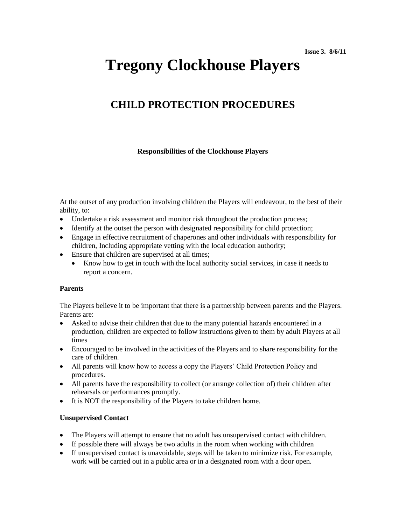# **Tregony Clockhouse Players**

# **CHILD PROTECTION PROCEDURES**

## **Responsibilities of the Clockhouse Players**

At the outset of any production involving children the Players will endeavour, to the best of their ability, to:

- Undertake a risk assessment and monitor risk throughout the production process;
- Identify at the outset the person with designated responsibility for child protection;
- Engage in effective recruitment of chaperones and other individuals with responsibility for children, Including appropriate vetting with the local education authority;
- Ensure that children are supervised at all times;
	- Know how to get in touch with the local authority social services, in case it needs to report a concern.

#### **Parents**

The Players believe it to be important that there is a partnership between parents and the Players. Parents are:

- Asked to advise their children that due to the many potential hazards encountered in a production, children are expected to follow instructions given to them by adult Players at all times
- Encouraged to be involved in the activities of the Players and to share responsibility for the care of children.
- All parents will know how to access a copy the Players' Child Protection Policy and procedures.
- All parents have the responsibility to collect (or arrange collection of) their children after rehearsals or performances promptly.
- It is NOT the responsibility of the Players to take children home.

#### **Unsupervised Contact**

- The Players will attempt to ensure that no adult has unsupervised contact with children.
- If possible there will always be two adults in the room when working with children
- If unsupervised contact is unavoidable, steps will be taken to minimize risk. For example, work will be carried out in a public area or in a designated room with a door open.